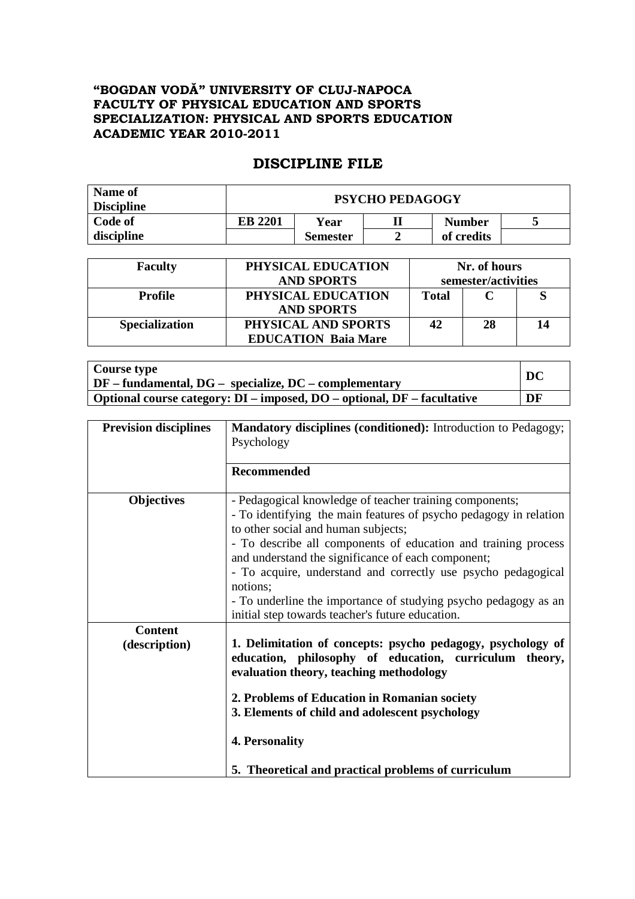## **"BOGDAN VODĂ" UNIVERSITY OF CLUJ-NAPOCA FACULTY OF PHYSICAL EDUCATION AND SPORTS SPECIALIZATION: PHYSICAL AND SPORTS EDUCATION ACADEMIC YEAR 2010-2011**

## **DISCIPLINE FILE**

| Name of<br><b>Discipline</b> | <b>PSYCHO PEDAGOGY</b> |                 |  |               |  |
|------------------------------|------------------------|-----------------|--|---------------|--|
| Code of                      | <b>EB 2201</b>         | Year            |  | <b>Number</b> |  |
| discipline                   |                        | <b>Semester</b> |  | of credits    |  |

| <b>Faculty</b>        | PHYSICAL EDUCATION<br><b>AND SPORTS</b>           | Nr. of hours<br>semester/activities |    |    |
|-----------------------|---------------------------------------------------|-------------------------------------|----|----|
| <b>Profile</b>        | PHYSICAL EDUCATION<br><b>AND SPORTS</b>           | <b>Total</b>                        |    |    |
| <b>Specialization</b> | PHYSICAL AND SPORTS<br><b>EDUCATION Baia Mare</b> | 42                                  | 28 | 14 |

| Course type                                                                    | DC |
|--------------------------------------------------------------------------------|----|
| $\mid DF - fundamental, DG - specialize, DC - complementary \mid$              |    |
| <b>Optional course category: DI – imposed, DO – optional, DF – facultative</b> | DF |

| <b>Prevision disciplines</b>    | Mandatory disciplines (conditioned): Introduction to Pedagogy;                                                                                                                                                                                                                                                                                                                                                                                                                                  |  |  |  |
|---------------------------------|-------------------------------------------------------------------------------------------------------------------------------------------------------------------------------------------------------------------------------------------------------------------------------------------------------------------------------------------------------------------------------------------------------------------------------------------------------------------------------------------------|--|--|--|
|                                 | Psychology                                                                                                                                                                                                                                                                                                                                                                                                                                                                                      |  |  |  |
|                                 |                                                                                                                                                                                                                                                                                                                                                                                                                                                                                                 |  |  |  |
|                                 | <b>Recommended</b>                                                                                                                                                                                                                                                                                                                                                                                                                                                                              |  |  |  |
| <b>Objectives</b>               | - Pedagogical knowledge of teacher training components;<br>- To identifying the main features of psycho pedagogy in relation<br>to other social and human subjects;<br>- To describe all components of education and training process<br>and understand the significance of each component;<br>- To acquire, understand and correctly use psycho pedagogical<br>notions;<br>- To underline the importance of studying psycho pedagogy as an<br>initial step towards teacher's future education. |  |  |  |
| <b>Content</b><br>(description) | 1. Delimitation of concepts: psycho pedagogy, psychology of<br>education, philosophy of education, curriculum theory,<br>evaluation theory, teaching methodology<br>2. Problems of Education in Romanian society<br>3. Elements of child and adolescent psychology<br>4. Personality<br>5. Theoretical and practical problems of curriculum                                                                                                                                                     |  |  |  |